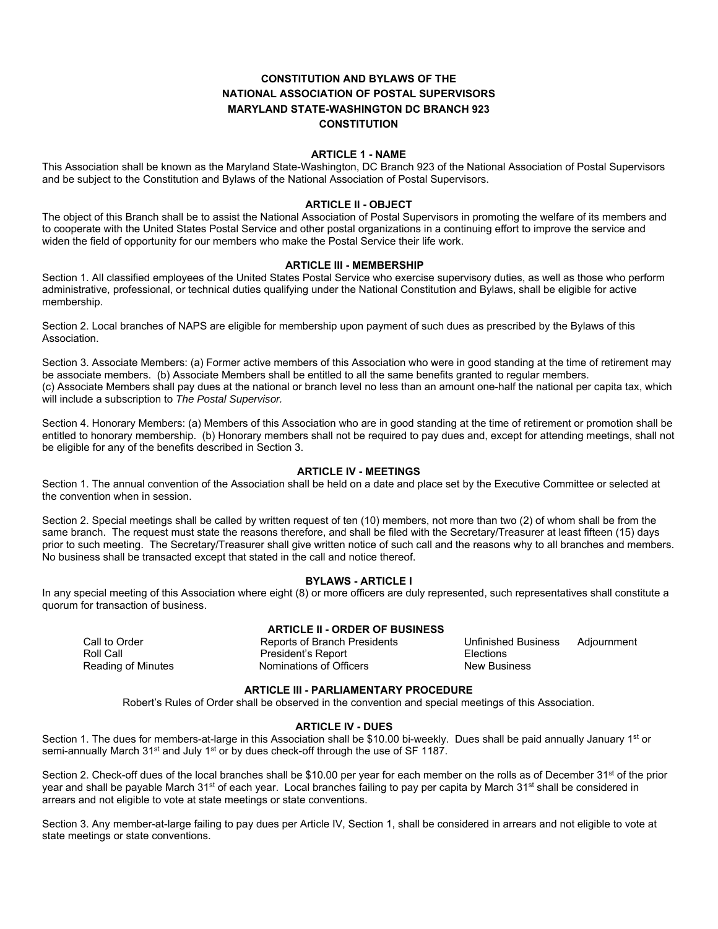# **CONSTITUTION AND BYLAWS OF THE NATIONAL ASSOCIATION OF POSTAL SUPERVISORS MARYLAND STATE-WASHINGTON DC BRANCH 923 CONSTITUTION**

## **ARTICLE 1 - NAME**

This Association shall be known as the Maryland State-Washington, DC Branch 923 of the National Association of Postal Supervisors and be subject to the Constitution and Bylaws of the National Association of Postal Supervisors.

## **ARTICLE II - OBJECT**

The object of this Branch shall be to assist the National Association of Postal Supervisors in promoting the welfare of its members and to cooperate with the United States Postal Service and other postal organizations in a continuing effort to improve the service and widen the field of opportunity for our members who make the Postal Service their life work.

### **ARTICLE III - MEMBERSHIP**

Section 1. All classified employees of the United States Postal Service who exercise supervisory duties, as well as those who perform administrative, professional, or technical duties qualifying under the National Constitution and Bylaws, shall be eligible for active membership.

Section 2. Local branches of NAPS are eligible for membership upon payment of such dues as prescribed by the Bylaws of this Association.

Section 3. Associate Members: (a) Former active members of this Association who were in good standing at the time of retirement may be associate members. (b) Associate Members shall be entitled to all the same benefits granted to regular members. (c) Associate Members shall pay dues at the national or branch level no less than an amount one-half the national per capita tax, which will include a subscription to *The Postal Supervisor.* 

Section 4. Honorary Members: (a) Members of this Association who are in good standing at the time of retirement or promotion shall be entitled to honorary membership. (b) Honorary members shall not be required to pay dues and, except for attending meetings, shall not be eligible for any of the benefits described in Section 3.

## **ARTICLE IV - MEETINGS**

Section 1. The annual convention of the Association shall be held on a date and place set by the Executive Committee or selected at the convention when in session.

Section 2. Special meetings shall be called by written request of ten (10) members, not more than two (2) of whom shall be from the same branch. The request must state the reasons therefore, and shall be filed with the Secretary/Treasurer at least fifteen (15) days prior to such meeting. The Secretary/Treasurer shall give written notice of such call and the reasons why to all branches and members. No business shall be transacted except that stated in the call and notice thereof.

## **BYLAWS - ARTICLE I**

In any special meeting of this Association where eight (8) or more officers are duly represented, such representatives shall constitute a quorum for transaction of business.

## **ARTICLE II - ORDER OF BUSINESS**

Roll Call **President's Report President's Report Elections** Reading of Minutes **Nominations of Officers** New Business

Call to Order Reports of Branch Presidents Unfinished Business Adjournment

## **ARTICLE III - PARLIAMENTARY PROCEDURE**

Robert's Rules of Order shall be observed in the convention and special meetings of this Association.

## **ARTICLE IV - DUES**

Section 1. The dues for members-at-large in this Association shall be \$10.00 bi-weekly. Dues shall be paid annually January 1<sup>st</sup> or semi-annually March 31<sup>st</sup> and July 1<sup>st</sup> or by dues check-off through the use of SF 1187.

Section 2. Check-off dues of the local branches shall be \$10.00 per year for each member on the rolls as of December 31<sup>st</sup> of the prior year and shall be payable March 31<sup>st</sup> of each year. Local branches failing to pay per capita by March 31<sup>st</sup> shall be considered in arrears and not eligible to vote at state meetings or state conventions.

Section 3. Any member-at-large failing to pay dues per Article IV, Section 1, shall be considered in arrears and not eligible to vote at state meetings or state conventions.